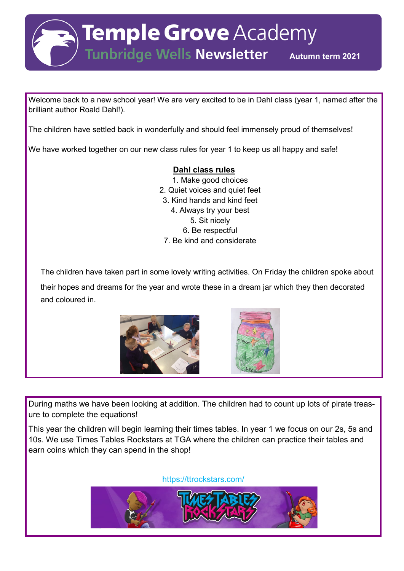**Temple Grove Academy** 

Tunbridge Wells Newsletter Autumn term 2021

Welcome back to a new school year! We are very excited to be in Dahl class (year 1, named after the brilliant author Roald Dahl!).

The children have settled back in wonderfully and should feel immensely proud of themselves!

We have worked together on our new class rules for year 1 to keep us all happy and safe!

## **Dahl class rules**

1. Make good choices 2. Quiet voices and quiet feet 3. Kind hands and kind feet 4. Always try your best 5. Sit nicely 6. Be respectful 7. Be kind and considerate

The children have taken part in some lovely writing activities. On Friday the children spoke about

their hopes and dreams for the year and wrote these in a dream jar which they then decorated and coloured in.



During maths we have been looking at addition. The children had to count up lots of pirate treasure to complete the equations!

This year the children will begin learning their times tables. In year 1 we focus on our 2s, 5s and 10s. We use Times Tables Rockstars at TGA where the children can practice their tables and earn coins which they can spend in the shop!

https://ttrockstars.com/